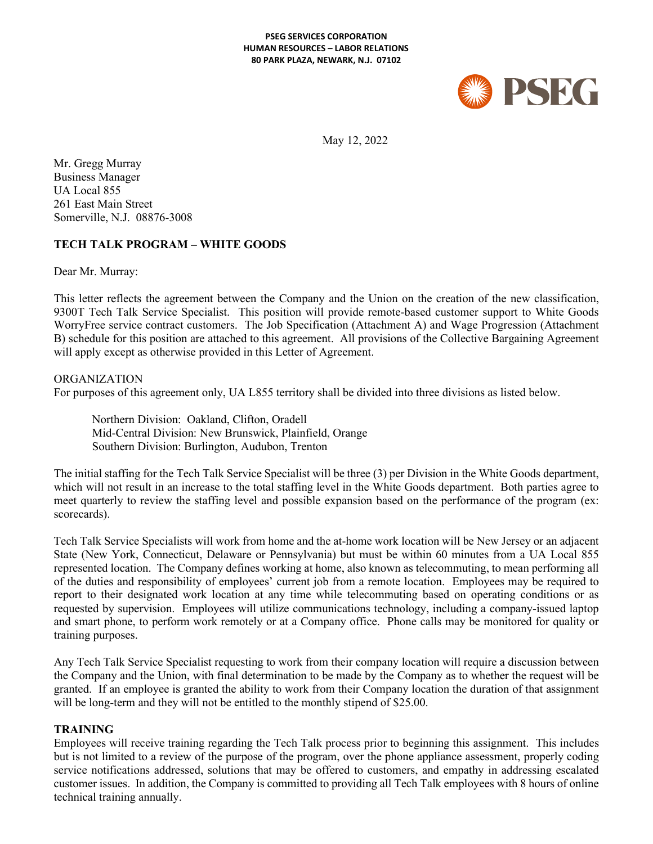#### **PSEG SERVICES CORPORATION HUMAN RESOURCES – LABOR RELATIONS 80 PARK PLAZA, NEWARK, N.J. 07102**



May 12, 2022

Mr. Gregg Murray Business Manager UA Local 855 261 East Main Street Somerville, N.J. 08876-3008

## **TECH TALK PROGRAM – WHITE GOODS**

Dear Mr. Murray:

This letter reflects the agreement between the Company and the Union on the creation of the new classification, 9300T Tech Talk Service Specialist. This position will provide remote-based customer support to White Goods WorryFree service contract customers. The Job Specification (Attachment A) and Wage Progression (Attachment B) schedule for this position are attached to this agreement. All provisions of the Collective Bargaining Agreement will apply except as otherwise provided in this Letter of Agreement.

#### ORGANIZATION

For purposes of this agreement only, UA L855 territory shall be divided into three divisions as listed below.

Northern Division: Oakland, Clifton, Oradell Mid-Central Division: New Brunswick, Plainfield, Orange Southern Division: Burlington, Audubon, Trenton

The initial staffing for the Tech Talk Service Specialist will be three (3) per Division in the White Goods department, which will not result in an increase to the total staffing level in the White Goods department. Both parties agree to meet quarterly to review the staffing level and possible expansion based on the performance of the program (ex: scorecards).

Tech Talk Service Specialists will work from home and the at-home work location will be New Jersey or an adjacent State (New York, Connecticut, Delaware or Pennsylvania) but must be within 60 minutes from a UA Local 855 represented location. The Company defines working at home, also known as telecommuting, to mean performing all of the duties and responsibility of employees' current job from a remote location. Employees may be required to report to their designated work location at any time while telecommuting based on operating conditions or as requested by supervision. Employees will utilize communications technology, including a company-issued laptop and smart phone, to perform work remotely or at a Company office. Phone calls may be monitored for quality or training purposes.

Any Tech Talk Service Specialist requesting to work from their company location will require a discussion between the Company and the Union, with final determination to be made by the Company as to whether the request will be granted. If an employee is granted the ability to work from their Company location the duration of that assignment will be long-term and they will not be entitled to the monthly stipend of \$25.00.

#### **TRAINING**

Employees will receive training regarding the Tech Talk process prior to beginning this assignment. This includes but is not limited to a review of the purpose of the program, over the phone appliance assessment, properly coding service notifications addressed, solutions that may be offered to customers, and empathy in addressing escalated customer issues. In addition, the Company is committed to providing all Tech Talk employees with 8 hours of online technical training annually.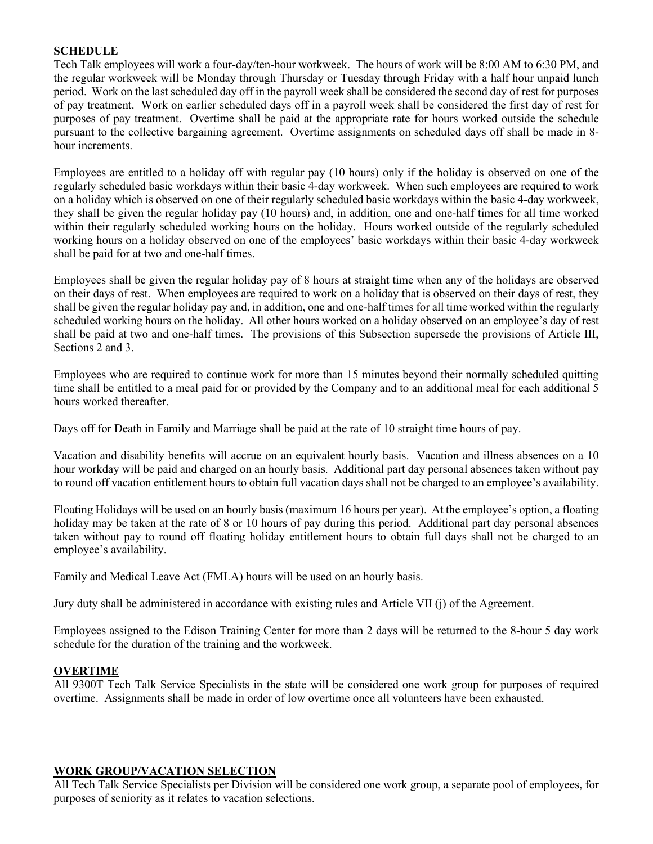### **SCHEDULE**

Tech Talk employees will work a four-day/ten-hour workweek. The hours of work will be 8:00 AM to 6:30 PM, and the regular workweek will be Monday through Thursday or Tuesday through Friday with a half hour unpaid lunch period. Work on the last scheduled day off in the payroll week shall be considered the second day of rest for purposes of pay treatment. Work on earlier scheduled days off in a payroll week shall be considered the first day of rest for purposes of pay treatment. Overtime shall be paid at the appropriate rate for hours worked outside the schedule pursuant to the collective bargaining agreement. Overtime assignments on scheduled days off shall be made in 8 hour increments.

Employees are entitled to a holiday off with regular pay (10 hours) only if the holiday is observed on one of the regularly scheduled basic workdays within their basic 4-day workweek. When such employees are required to work on a holiday which is observed on one of their regularly scheduled basic workdays within the basic 4-day workweek, they shall be given the regular holiday pay (10 hours) and, in addition, one and one-half times for all time worked within their regularly scheduled working hours on the holiday. Hours worked outside of the regularly scheduled working hours on a holiday observed on one of the employees' basic workdays within their basic 4-day workweek shall be paid for at two and one-half times.

Employees shall be given the regular holiday pay of 8 hours at straight time when any of the holidays are observed on their days of rest. When employees are required to work on a holiday that is observed on their days of rest, they shall be given the regular holiday pay and, in addition, one and one-half times for all time worked within the regularly scheduled working hours on the holiday. All other hours worked on a holiday observed on an employee's day of rest shall be paid at two and one-half times. The provisions of this Subsection supersede the provisions of Article III, Sections 2 and 3.

Employees who are required to continue work for more than 15 minutes beyond their normally scheduled quitting time shall be entitled to a meal paid for or provided by the Company and to an additional meal for each additional 5 hours worked thereafter.

Days off for Death in Family and Marriage shall be paid at the rate of 10 straight time hours of pay.

Vacation and disability benefits will accrue on an equivalent hourly basis. Vacation and illness absences on a 10 hour workday will be paid and charged on an hourly basis. Additional part day personal absences taken without pay to round off vacation entitlement hours to obtain full vacation days shall not be charged to an employee's availability.

Floating Holidays will be used on an hourly basis (maximum 16 hours per year). At the employee's option, a floating holiday may be taken at the rate of 8 or 10 hours of pay during this period. Additional part day personal absences taken without pay to round off floating holiday entitlement hours to obtain full days shall not be charged to an employee's availability.

Family and Medical Leave Act (FMLA) hours will be used on an hourly basis.

Jury duty shall be administered in accordance with existing rules and Article VII (j) of the Agreement.

Employees assigned to the Edison Training Center for more than 2 days will be returned to the 8-hour 5 day work schedule for the duration of the training and the workweek.

#### **OVERTIME**

All 9300T Tech Talk Service Specialists in the state will be considered one work group for purposes of required overtime. Assignments shall be made in order of low overtime once all volunteers have been exhausted.

#### **WORK GROUP/VACATION SELECTION**

All Tech Talk Service Specialists per Division will be considered one work group, a separate pool of employees, for purposes of seniority as it relates to vacation selections.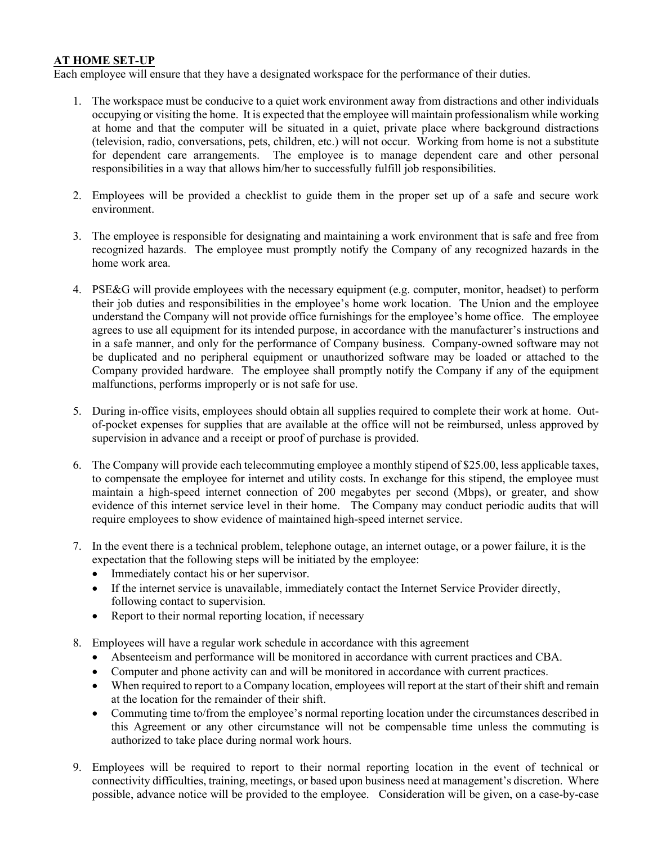# **AT HOME SET-UP**

Each employee will ensure that they have a designated workspace for the performance of their duties.

- 1. The workspace must be conducive to a quiet work environment away from distractions and other individuals occupying or visiting the home. It is expected that the employee will maintain professionalism while working at home and that the computer will be situated in a quiet, private place where background distractions (television, radio, conversations, pets, children, etc.) will not occur. Working from home is not a substitute for dependent care arrangements. The employee is to manage dependent care and other personal responsibilities in a way that allows him/her to successfully fulfill job responsibilities.
- 2. Employees will be provided a checklist to guide them in the proper set up of a safe and secure work environment.
- 3. The employee is responsible for designating and maintaining a work environment that is safe and free from recognized hazards. The employee must promptly notify the Company of any recognized hazards in the home work area.
- 4. PSE&G will provide employees with the necessary equipment (e.g. computer, monitor, headset) to perform their job duties and responsibilities in the employee's home work location. The Union and the employee understand the Company will not provide office furnishings for the employee's home office. The employee agrees to use all equipment for its intended purpose, in accordance with the manufacturer's instructions and in a safe manner, and only for the performance of Company business. Company-owned software may not be duplicated and no peripheral equipment or unauthorized software may be loaded or attached to the Company provided hardware. The employee shall promptly notify the Company if any of the equipment malfunctions, performs improperly or is not safe for use.
- 5. During in-office visits, employees should obtain all supplies required to complete their work at home. Outof-pocket expenses for supplies that are available at the office will not be reimbursed, unless approved by supervision in advance and a receipt or proof of purchase is provided.
- 6. The Company will provide each telecommuting employee a monthly stipend of \$25.00, less applicable taxes, to compensate the employee for internet and utility costs. In exchange for this stipend, the employee must maintain a high-speed internet connection of 200 megabytes per second (Mbps), or greater, and show evidence of this internet service level in their home. The Company may conduct periodic audits that will require employees to show evidence of maintained high-speed internet service.
- 7. In the event there is a technical problem, telephone outage, an internet outage, or a power failure, it is the expectation that the following steps will be initiated by the employee:
	- Immediately contact his or her supervisor.
	- If the internet service is unavailable, immediately contact the Internet Service Provider directly, following contact to supervision.
	- Report to their normal reporting location, if necessary
- 8. Employees will have a regular work schedule in accordance with this agreement
	- Absenteeism and performance will be monitored in accordance with current practices and CBA.
	- Computer and phone activity can and will be monitored in accordance with current practices.
	- When required to report to a Company location, employees will report at the start of their shift and remain at the location for the remainder of their shift.
	- Commuting time to/from the employee's normal reporting location under the circumstances described in this Agreement or any other circumstance will not be compensable time unless the commuting is authorized to take place during normal work hours.
- 9. Employees will be required to report to their normal reporting location in the event of technical or connectivity difficulties, training, meetings, or based upon business need at management's discretion. Where possible, advance notice will be provided to the employee. Consideration will be given, on a case-by-case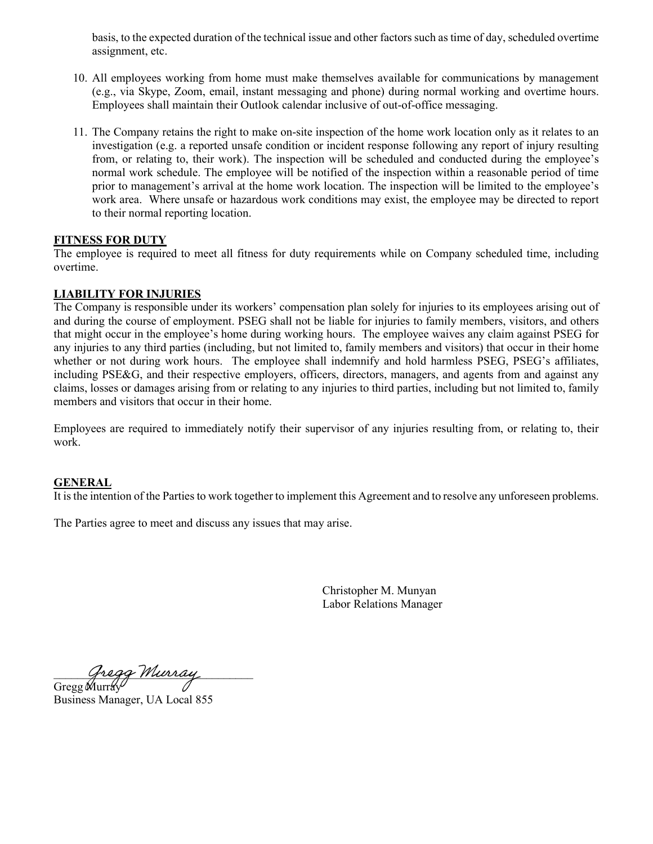basis, to the expected duration of the technical issue and other factors such as time of day, scheduled overtime assignment, etc.

- 10. All employees working from home must make themselves available for communications by management (e.g., via Skype, Zoom, email, instant messaging and phone) during normal working and overtime hours. Employees shall maintain their Outlook calendar inclusive of out-of-office messaging.
- 11. The Company retains the right to make on-site inspection of the home work location only as it relates to an investigation (e.g. a reported unsafe condition or incident response following any report of injury resulting from, or relating to, their work). The inspection will be scheduled and conducted during the employee's normal work schedule. The employee will be notified of the inspection within a reasonable period of time prior to management's arrival at the home work location. The inspection will be limited to the employee's work area. Where unsafe or hazardous work conditions may exist, the employee may be directed to report to their normal reporting location.

#### **FITNESS FOR DUTY**

The employee is required to meet all fitness for duty requirements while on Company scheduled time, including overtime.

#### **LIABILITY FOR INJURIES**

The Company is responsible under its workers' compensation plan solely for injuries to its employees arising out of and during the course of employment. PSEG shall not be liable for injuries to family members, visitors, and others that might occur in the employee's home during working hours. The employee waives any claim against PSEG for any injuries to any third parties (including, but not limited to, family members and visitors) that occur in their home whether or not during work hours. The employee shall indemnify and hold harmless PSEG, PSEG's affiliates, including PSE&G, and their respective employers, officers, directors, managers, and agents from and against any claims, losses or damages arising from or relating to any injuries to third parties, including but not limited to, family members and visitors that occur in their home.

Employees are required to immediately notify their supervisor of any injuries resulting from, or relating to, their work.

#### **GENERAL**

It is the intention of the Parties to work together to implement this Agreement and to resolve any unforeseen problems.

The Parties agree to meet and discuss any issues that may arise.

 Christopher M. Munyan Labor Relations Manager

Gregg Murray

Gregg Murray Business Manager, UA Local 855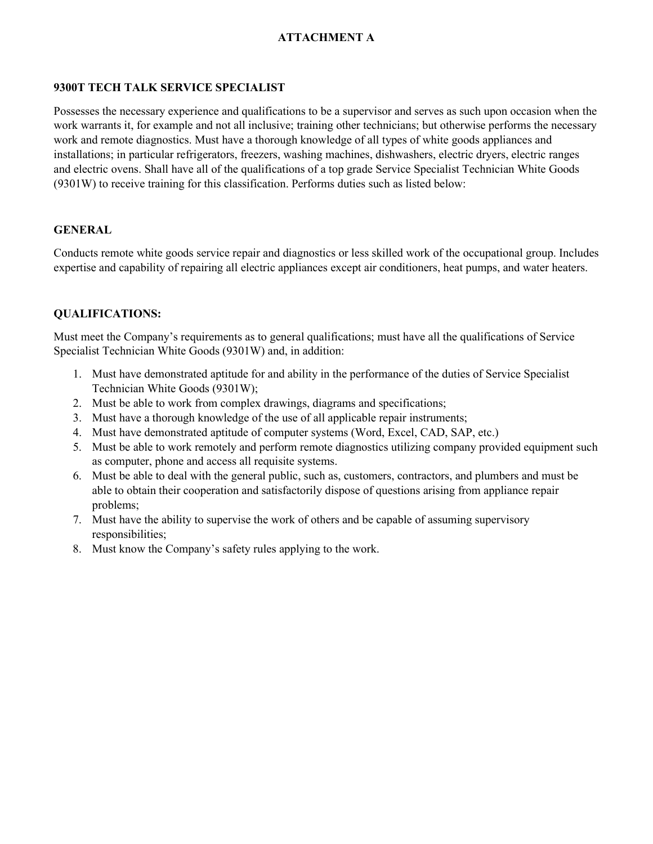# **ATTACHMENT A**

# **9300T TECH TALK SERVICE SPECIALIST**

Possesses the necessary experience and qualifications to be a supervisor and serves as such upon occasion when the work warrants it, for example and not all inclusive; training other technicians; but otherwise performs the necessary work and remote diagnostics. Must have a thorough knowledge of all types of white goods appliances and installations; in particular refrigerators, freezers, washing machines, dishwashers, electric dryers, electric ranges and electric ovens. Shall have all of the qualifications of a top grade Service Specialist Technician White Goods (9301W) to receive training for this classification. Performs duties such as listed below:

#### **GENERAL**

Conducts remote white goods service repair and diagnostics or less skilled work of the occupational group. Includes expertise and capability of repairing all electric appliances except air conditioners, heat pumps, and water heaters.

## **QUALIFICATIONS:**

Must meet the Company's requirements as to general qualifications; must have all the qualifications of Service Specialist Technician White Goods (9301W) and, in addition:

- 1. Must have demonstrated aptitude for and ability in the performance of the duties of Service Specialist Technician White Goods (9301W);
- 2. Must be able to work from complex drawings, diagrams and specifications;
- 3. Must have a thorough knowledge of the use of all applicable repair instruments;
- 4. Must have demonstrated aptitude of computer systems (Word, Excel, CAD, SAP, etc.)
- 5. Must be able to work remotely and perform remote diagnostics utilizing company provided equipment such as computer, phone and access all requisite systems.
- 6. Must be able to deal with the general public, such as, customers, contractors, and plumbers and must be able to obtain their cooperation and satisfactorily dispose of questions arising from appliance repair problems;
- 7. Must have the ability to supervise the work of others and be capable of assuming supervisory responsibilities;
- 8. Must know the Company's safety rules applying to the work.